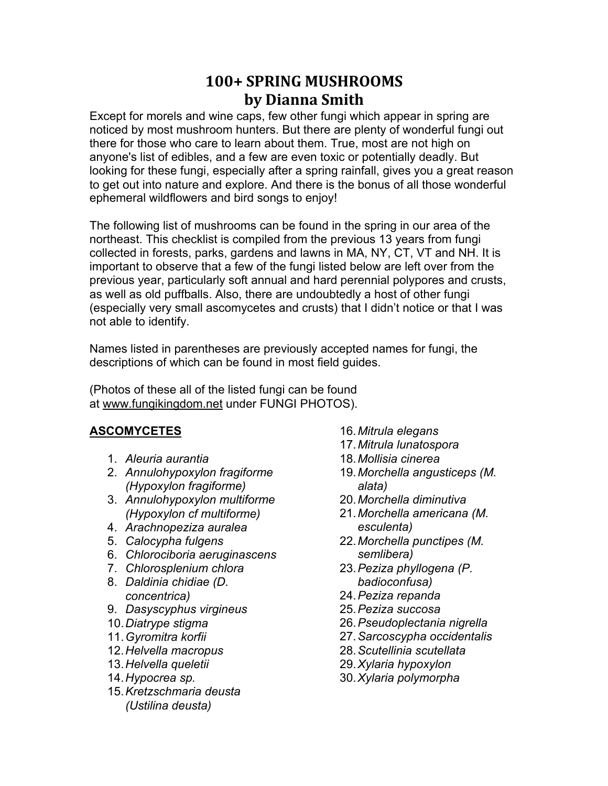# **100+ SPRING MUSHROOMS by Dianna Smith**

Except for morels and wine caps, few other fungi which appear in spring are noticed by most mushroom hunters. But there are plenty of wonderful fungi out there for those who care to learn about them. True, most are not high on anyone's list of edibles, and a few are even toxic or potentially deadly. But looking for these fungi, especially after a spring rainfall, gives you a great reason to get out into nature and explore. And there is the bonus of all those wonderful ephemeral wildflowers and bird songs to enjoy!

The following list of mushrooms can be found in the spring in our area of the northeast. This checklist is compiled from the previous 13 years from fungi collected in forests, parks, gardens and lawns in MA, NY, CT, VT and NH. It is important to observe that a few of the fungi listed below are left over from the previous year, particularly soft annual and hard perennial polypores and crusts, as well as old puffballs. Also, there are undoubtedly a host of other fungi (especially very small ascomycetes and crusts) that I didn't notice or that I was not able to identify.

Names listed in parentheses are previously accepted names for fungi, the descriptions of which can be found in most field guides.

(Photos of these all of the listed fungi can be found at www.fungikingdom.net under FUNGI PHOTOS).

# **ASCOMYCETES**

- 1. *Aleuria aurantia*
- 2. *Annulohypoxylon fragiforme (Hypoxylon fragiforme)*
- 3. *Annulohypoxylon multiforme (Hypoxylon cf multiforme)*
- 4. *Arachnopeziza auralea*
- 5. *Calocypha fulgens*
- 6. *Chlorociboria aeruginascens*
- 7. *Chlorosplenium chlora*
- 8. *Daldinia chidiae (D. concentrica)*
- 9. *Dasyscyphus virgineus*
- 10.*Diatrype stigma*
- 11.*Gyromitra korfii*
- 12.*Helvella macropus*
- 13.*Helvella queletii*
- 14.*Hypocrea sp.*
- 15.*Kretzschmaria deusta (Ustilina deusta)*
- 16.*Mitrula elegans*
- 17.*Mitrula lunatospora*
- 18.*Mollisia cinerea*
- 19.*Morchella angusticeps (M. alata)*
- 20.*Morchella diminutiva*
- 21.*Morchella americana (M. esculenta)*
- 22.*Morchella punctipes (M. semlibera)*
- 23.*Peziza phyllogena (P. badioconfusa)*
- 24.*Peziza repanda*
- 25.*Peziza succosa*
- 26.*Pseudoplectania nigrella*
- 27.*Sarcoscypha occidentalis*
- 28.*Scutellinia scutellata*
- 29.*Xylaria hypoxylon*
- 30.*Xylaria polymorpha*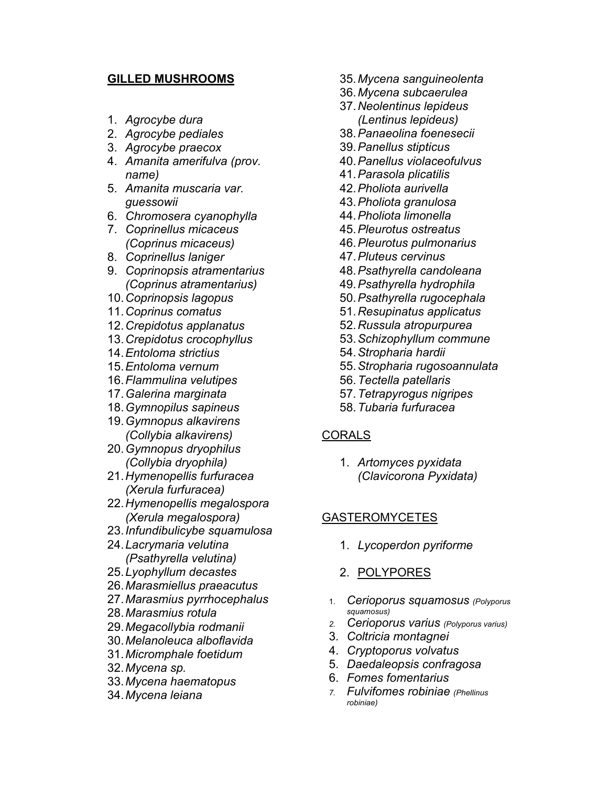### **GILLED MUSHROOMS**

- 1. *Agrocybe dura*
- 2. *Agrocybe pediales*
- 3. *Agrocybe praecox*
- 4. *Amanita amerifulva (prov. name)*
- 5. *Amanita muscaria var. guessowii*
- 6. *Chromosera cyanophylla*
- 7. *Coprinellus micaceus (Coprinus micaceus)*
- 8. *Coprinellus laniger*
- 9. *Coprinopsis atramentarius (Coprinus atramentarius)*
- 10.*Coprinopsis lagopus*
- 11.*Coprinus comatus*
- 12.*Crepidotus applanatus*
- 13.*Crepidotus crocophyllus*
- 14.*Entoloma strictius*
- 15.*Entoloma vernum*
- 16.*Flammulina velutipes*
- 17.*Galerina marginata*
- 18.*Gymnopilus sapineus*
- 19.*Gymnopus alkavirens (Collybia alkavirens)*
- 20.*Gymnopus dryophilus (Collybia dryophila)*
- 21.*Hymenopellis furfuracea (Xerula furfuracea)*
- 22.*Hymenopellis megalospora (Xerula megalospora)*
- 23.*Infundibulicybe squamulosa*
- 24.*Lacrymaria velutina (Psathyrella velutina)*
- 25.*Lyophyllum decastes*
- 26.*Marasmiellus praeacutus*
- 27.*Marasmius pyrrhocephalus*
- 28.*Marasmius rotula*
- 29.*Megacollybia rodmanii*
- 30.*Melanoleuca alboflavida*
- 31.*Micromphale foetidum*
- 32.*Mycena sp.*
- 33.*Mycena haematopus*
- 34.*Mycena leiana*
- 35.*Mycena sanguineolenta*
- 36.*Mycena subcaerulea*
- 37.*Neolentinus lepideus (Lentinus lepideus)*
- 38.*Panaeolina foenesecii*
- 39.*Panellus stipticus*
- 40.*Panellus violaceofulvus*
- 41.*Parasola plicatilis*
- 42.*Pholiota aurivella*
- 43.*Pholiota granulosa*
- 44.*Pholiota limonella*
- 45.*Pleurotus ostreatus*
- 46.*Pleurotus pulmonarius*
- 47.*Pluteus cervinus*
- 48.*Psathyrella candoleana*
- 49.*Psathyrella hydrophila*
- 50.*Psathyrella rugocephala*
- 51.*Resupinatus applicatus*
- 52.*Russula atropurpurea*
- 53.*Schizophyllum commune*
- 54.*Stropharia hardii*
- 55.*Stropharia rugosoannulata*
- 56.*Tectella patellaris*
- 57.*Tetrapyrogus nigripes*
- 58.*Tubaria furfuracea*

### CORALS

1. *Artomyces pyxidata (Clavicorona Pyxidata)*

## **GASTEROMYCETES**

- 1. *Lycoperdon pyriforme*
- 2. POLYPORES
- 1. *Cerioporus squamosus (Polyporus squamosus)*
- *2. Cerioporus varius (Polyporus varius)*
- 3. *Coltricia montagnei*
- 4. *Cryptoporus volvatus*
- 5. *Daedaleopsis confragosa*
- 6. *Fomes fomentarius*
- *7. Fulvifomes robiniae (Phellinus robiniae)*